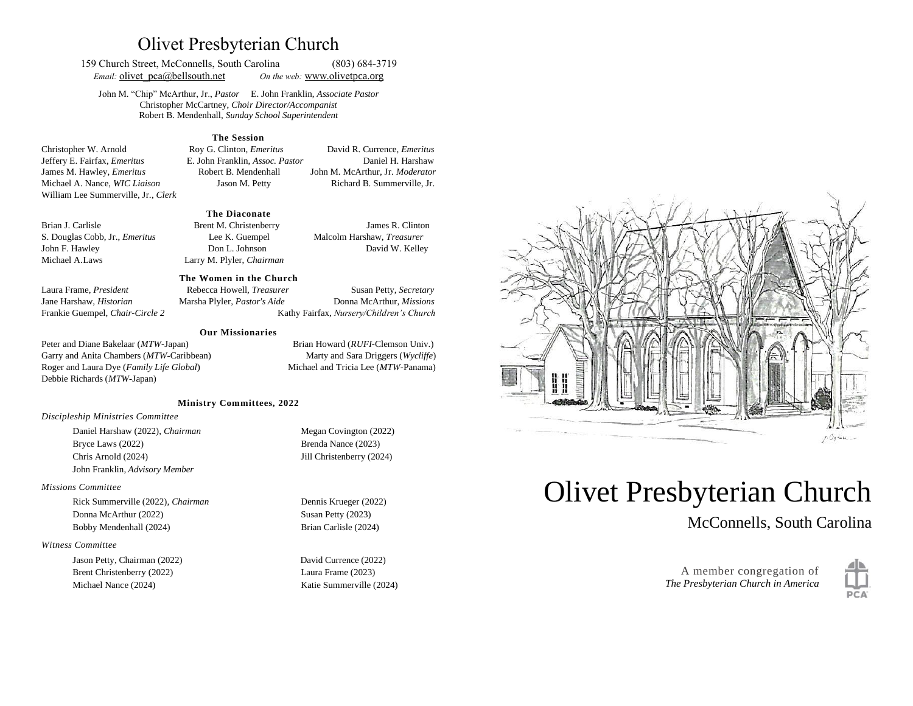# Olivet Presbyterian Church

159 Church Street, McConnells, South Carolina (803) 684-3719 *Email:* olivet pca@bellsouth.net *On the web:* [www.olivetp](about:blank)ca.org

John M. "Chip" McArthur, Jr., *Pastor* E. John Franklin, *Associate Pastor* Christopher McCartney, *Choir Director/Accompanist* Robert B. Mendenhall, *Sunday School Superintendent*

### **The Session**

Christopher W. Arnold Roy G. Clinton, *Emeritus* David R. Currence, *Emeritus* Jeffery E. Fairfax, *Emeritus* E. John Franklin, *Assoc. Pastor* Daniel H. Harshaw James M. Hawley, *Emeritus* Robert B. Mendenhall John M. McArthur, Jr. *Moderator* Michael A. Nance, *WIC Liaison* Jason M. Petty Richard B. Summerville, Jr. William Lee Summerville, Jr., *Clerk*

### **The Diaconate**

S. Douglas Cobb, Jr., *Emeritus* Lee K. Guempel Malcolm Harshaw, *Treasurer* John F. Hawley Don L. Johnson David W. Kelley Michael A.Laws Larry M. Plyler, *Chairman* 

Brian J. Carlisle **Brent M. Christenberry** James R. Clinton

### **The Women in the Church**

Laura Frame, *President* Rebecca Howell, *Treasurer* Susan Petty, *Secretary*  Jane Harshaw, *Historian* Marsha Plyler, *Pastor's Aide* Donna McArthur, *Missions* Frankie Guempel, *Chair-Circle 2* Kathy Fairfax, *Nursery/Children's Church*

#### **Our Missionaries**

Peter and Diane Bakelaar (*MTW*-Japan) Brian Howard (*RUFI*-Clemson Univ.) Garry and Anita Chambers (*MTW*-Caribbean) Marty and Sara Driggers (*Wycliffe*) Roger and Laura Dye (*Family Life Global*) Michael and Tricia Lee (*MTW*-Panama) Debbie Richards (*MTW*-Japan)

### **Ministry Committees, 2022**

### *Discipleship Ministries Committee*

Daniel Harshaw (2022), *Chairman* Megan Covington (2022) Bryce Laws (2022) Brenda Nance (2023) Chris Arnold (2024) Jill Christenberry (2024) John Franklin, *Advisory Member*

### *Missions Committee*

Rick Summerville (2022), *Chairman* Dennis Krueger (2022) Donna McArthur (2022) Susan Petty (2023) Bobby Mendenhall (2024) Brian Carlisle (2024)

#### *Witness Committee*

Jason Petty, Chairman (2022) David Currence (2022) Brent Christenberry (2022) Laura Frame (2023) Michael Nance (2024) Katie Summerville (2024)



# Olivet Presbyterian Church

McConnells, South Carolina

A member congregation of *The Presbyterian Church in America*

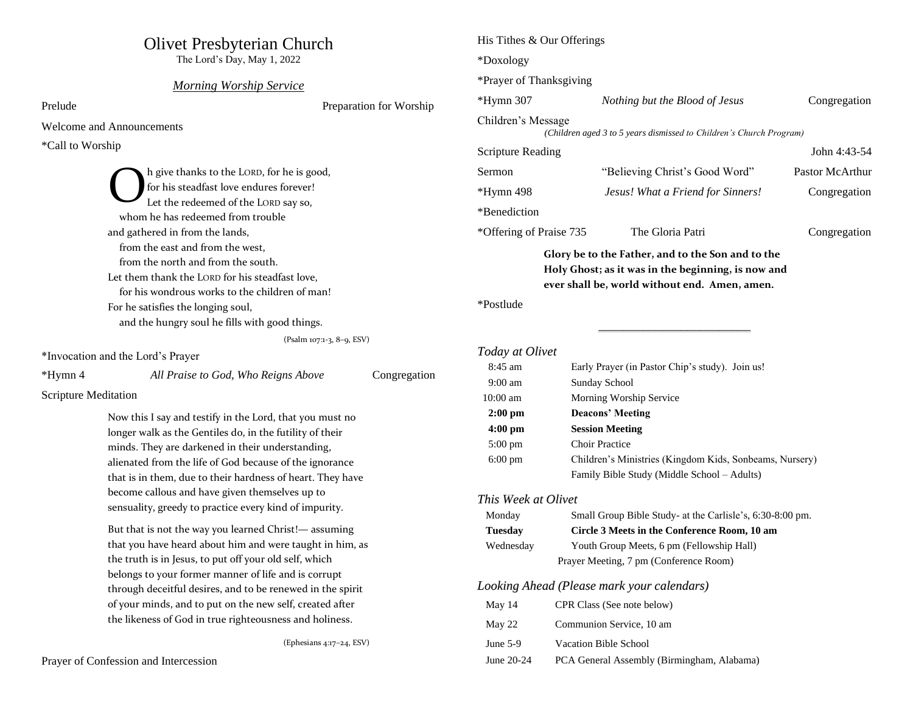# Olivet Presbyterian Church

The Lord's Day, May 1, 2022

### *Morning Worship Service*

Prelude Preparation for Worship

Welcome and Announcements

\*Call to Worship

h give thanks to the LORD, for he is good, for his steadfast love endures forever! Let the redeemed of the LORD say so, whom he has redeemed from trouble and gathered in from the lands, from the east and from the west, from the north and from the south. Let them thank the LORD for his steadfast love, for his wondrous works to the children of man! For he satisfies the longing soul, and the hungry soul he fills with good things. O

(Psalm 107:1-3, 8–9, ESV)

\*Invocation and the Lord's Prayer

| *Hymn 4 | All Praise to God, Who Reigns Above | Congregation |
|---------|-------------------------------------|--------------|
|---------|-------------------------------------|--------------|

Scripture Meditation

Now this I say and testify in the Lord, that you must no longer walk as the Gentiles do, in the futility of their minds. They are darkened in their understanding, alienated from the life of God because of the ignorance that is in them, due to their hardness of heart. They have become callous and have given themselves up to sensuality, greedy to practice every kind of impurity.

But that is not the way you learned Christ!— assuming that you have heard about him and were taught in him, as the truth is in Jesus, to put off your old self, which belongs to your former manner of life and is corrupt through deceitful desires, and to be renewed in the spirit of your minds, and to put on the new self, created after the likeness of God in true righteousness and holiness.

(Ephesians 4:17–24, ESV)

| His Tithes & Our Offerings |                                                                                                                                                          |                                                                                                        |                 |
|----------------------------|----------------------------------------------------------------------------------------------------------------------------------------------------------|--------------------------------------------------------------------------------------------------------|-----------------|
| *Doxology                  |                                                                                                                                                          |                                                                                                        |                 |
| *Prayer of Thanksgiving    |                                                                                                                                                          |                                                                                                        |                 |
| *Hymn 307                  |                                                                                                                                                          | Nothing but the Blood of Jesus                                                                         | Congregation    |
| Children's Message         |                                                                                                                                                          | (Children aged 3 to 5 years dismissed to Children's Church Program)                                    |                 |
| <b>Scripture Reading</b>   |                                                                                                                                                          |                                                                                                        | John 4:43-54    |
| Sermon                     |                                                                                                                                                          | "Believing Christ's Good Word"                                                                         | Pastor McArthur |
| *Hymn 498                  |                                                                                                                                                          | Jesus! What a Friend for Sinners!                                                                      | Congregation    |
| *Benediction               |                                                                                                                                                          |                                                                                                        |                 |
| *Offering of Praise 735    |                                                                                                                                                          | The Gloria Patri                                                                                       | Congregation    |
|                            | Glory be to the Father, and to the Son and to the<br>Holy Ghost; as it was in the beginning, is now and<br>ever shall be, world without end. Amen, amen. |                                                                                                        |                 |
| *Postlude                  |                                                                                                                                                          |                                                                                                        |                 |
|                            |                                                                                                                                                          |                                                                                                        |                 |
| Today at Olivet            |                                                                                                                                                          |                                                                                                        |                 |
| 8:45 am                    |                                                                                                                                                          | Early Prayer (in Pastor Chip's study). Join us!                                                        |                 |
| $9:00 \text{ am}$          | Sunday School                                                                                                                                            |                                                                                                        |                 |
| 10:00 am                   | Morning Worship Service                                                                                                                                  |                                                                                                        |                 |
| $2:00$ pm                  | <b>Deacons' Meeting</b>                                                                                                                                  |                                                                                                        |                 |
| $4:00$ pm                  | <b>Session Meeting</b>                                                                                                                                   |                                                                                                        |                 |
| $5:00 \text{ pm}$          |                                                                                                                                                          | <b>Choir Practice</b>                                                                                  |                 |
| $6:00 \text{ pm}$          |                                                                                                                                                          | Children's Ministries (Kingdom Kids, Sonbeams, Nursery)<br>Family Bible Study (Middle School - Adults) |                 |
|                            |                                                                                                                                                          |                                                                                                        |                 |
| This Week at Olivet        |                                                                                                                                                          |                                                                                                        |                 |
| Monday                     |                                                                                                                                                          | Small Group Bible Study- at the Carlisle's, 6:30-8:00 pm.                                              |                 |
| <b>Tuesday</b>             |                                                                                                                                                          | Circle 3 Meets in the Conference Room, 10 am                                                           |                 |
| Wednesday                  |                                                                                                                                                          | Youth Group Meets, 6 pm (Fellowship Hall)                                                              |                 |
|                            |                                                                                                                                                          | Prayer Meeting, 7 pm (Conference Room)                                                                 |                 |
|                            |                                                                                                                                                          | Looking Ahead (Please mark your calendars)                                                             |                 |
| May 14                     |                                                                                                                                                          | CPR Class (See note below)                                                                             |                 |
| May 22                     |                                                                                                                                                          | Communion Service, 10 am                                                                               |                 |
| June 5-9                   | <b>Vacation Bible School</b>                                                                                                                             |                                                                                                        |                 |
| June 20-24                 |                                                                                                                                                          | PCA General Assembly (Birmingham, Alabama)                                                             |                 |
|                            |                                                                                                                                                          |                                                                                                        |                 |